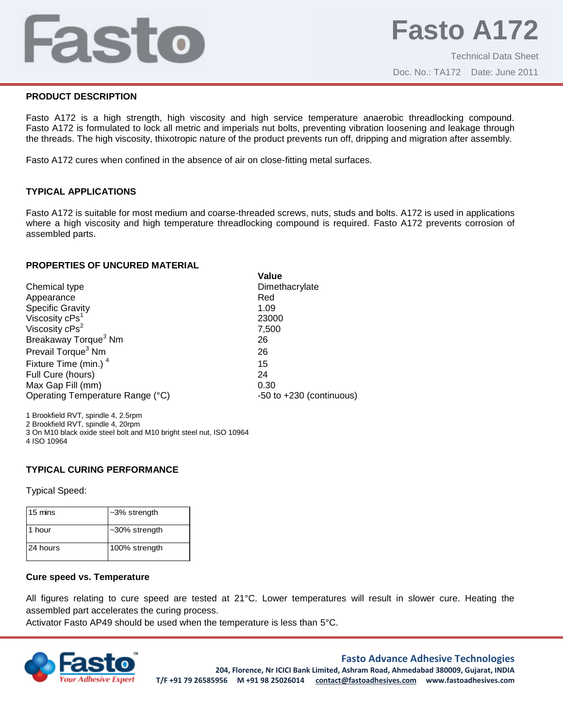# Fasto

# **PRODUCT DESCRIPTION**

Fasto A172 is a high strength, high viscosity and high service temperature anaerobic threadlocking compound. Fasto A172 is formulated to lock all metric and imperials nut bolts, preventing vibration loosening and leakage through the threads. The high viscosity, thixotropic nature of the product prevents run off, dripping and migration after assembly.

Fasto A172 cures when confined in the absence of air on close-fitting metal surfaces.

# **TYPICAL APPLICATIONS**

Fasto A172 is suitable for most medium and coarse-threaded screws, nuts, studs and bolts. A172 is used in applications where a high viscosity and high temperature threadlocking compound is required. Fasto A172 prevents corrosion of assembled parts.

**Value**

#### **PROPERTIES OF UNCURED MATERIAL**

|                                  | value                        |
|----------------------------------|------------------------------|
| Chemical type                    | Dimethacrylate               |
| Appearance                       | Red                          |
| <b>Specific Gravity</b>          | 1.09                         |
| Viscosity cPs <sup>1</sup>       | 23000                        |
| Viscosity cPs <sup>2</sup>       | 7,500                        |
| Breakaway Torque <sup>3</sup> Nm | 26                           |
| Prevail Torque <sup>3</sup> Nm   | 26                           |
| Fixture Time (min.) <sup>4</sup> | 15                           |
| Full Cure (hours)                | 24                           |
| Max Gap Fill (mm)                | 0.30                         |
| Operating Temperature Range (°C) | $-50$ to $+230$ (continuous) |
|                                  |                              |

1 Brookfield RVT, spindle 4, 2.5rpm 2 Brookfield RVT, spindle 4, 20rpm 3 On M10 black oxide steel bolt and M10 bright steel nut, ISO 10964 4 ISO 10964

# **TYPICAL CURING PERFORMANCE**

Typical Speed:

| 15 mins  | $-3\%$ strength  |
|----------|------------------|
| 1 hour   | $-30\%$ strength |
| 24 hours | 100% strength    |

# **Cure speed vs. Temperature**

All figures relating to cure speed are tested at 21°C. Lower temperatures will result in slower cure. Heating the assembled part accelerates the curing process.

Activator Fasto AP49 should be used when the temperature is less than 5°C.



# **Fasto Advance Adhesive Technologies**

**204, Florence, Nr ICICI Bank Limited, Ashram Road, Ahmedabad 380009, Gujarat, INDIA T/F +91 79 26585956 M +91 98 25026014 contact@fastoadhesives.com www.fastoadhesives.com**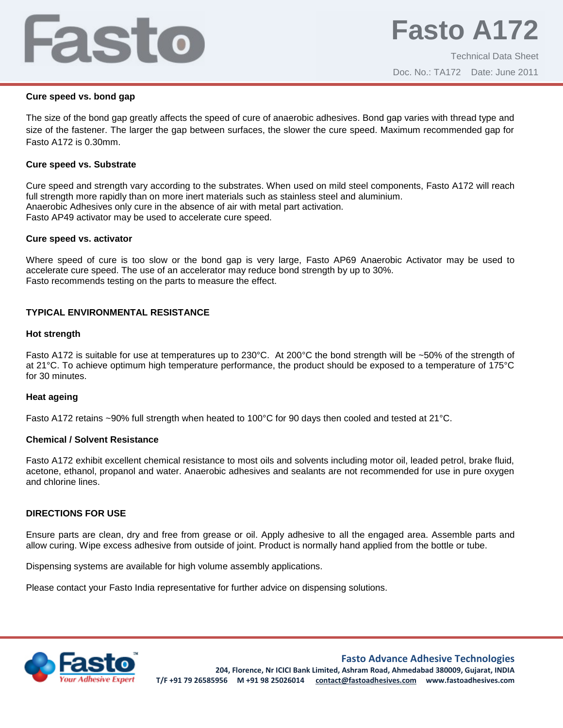# Fasto

# **Cure speed vs. bond gap**

The size of the bond gap greatly affects the speed of cure of anaerobic adhesives. Bond gap varies with thread type and size of the fastener. The larger the gap between surfaces, the slower the cure speed. Maximum recommended gap for Fasto A172 is 0.30mm.

#### **Cure speed vs. Substrate**

Cure speed and strength vary according to the substrates. When used on mild steel components, Fasto A172 will reach full strength more rapidly than on more inert materials such as stainless steel and aluminium. Anaerobic Adhesives only cure in the absence of air with metal part activation. Fasto AP49 activator may be used to accelerate cure speed.

#### **Cure speed vs. activator**

Where speed of cure is too slow or the bond gap is very large, Fasto AP69 Anaerobic Activator may be used to accelerate cure speed. The use of an accelerator may reduce bond strength by up to 30%. Fasto recommends testing on the parts to measure the effect.

# **TYPICAL ENVIRONMENTAL RESISTANCE**

#### **Hot strength**

Fasto A172 is suitable for use at temperatures up to 230°C. At 200°C the bond strength will be ~50% of the strength of at 21°C. To achieve optimum high temperature performance, the product should be exposed to a temperature of 175°C for 30 minutes.

# **Heat ageing**

Fasto A172 retains ~90% full strength when heated to 100°C for 90 days then cooled and tested at 21°C.

# **Chemical / Solvent Resistance**

Fasto A172 exhibit excellent chemical resistance to most oils and solvents including motor oil, leaded petrol, brake fluid, acetone, ethanol, propanol and water. Anaerobic adhesives and sealants are not recommended for use in pure oxygen and chlorine lines.

# **DIRECTIONS FOR USE**

Ensure parts are clean, dry and free from grease or oil. Apply adhesive to all the engaged area. Assemble parts and allow curing. Wipe excess adhesive from outside of joint. Product is normally hand applied from the bottle or tube.

Dispensing systems are available for high volume assembly applications.

Please contact your Fasto India representative for further advice on dispensing solutions.



**Fasto Advance Adhesive Technologies**

**204, Florence, Nr ICICI Bank Limited, Ashram Road, Ahmedabad 380009, Gujarat, INDIA T/F +91 79 26585956 M +91 98 25026014 contact@fastoadhesives.com www.fastoadhesives.com**